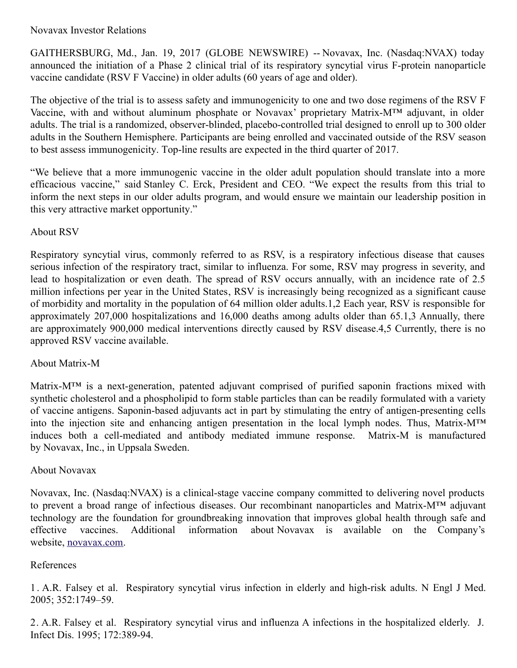GAITHERSBURG, Md., Jan. 19, 2017 (GLOBE NEWSWIRE) -- Novavax, Inc. (Nasdaq:NVAX) today announced the initiation of a Phase 2 clinical trial of its respiratory syncytial virus F-protein nanoparticle vaccine candidate (RSV F Vaccine) in older adults (60 years of age and older).

The objective of the trial is to assess safety and immunogenicity to one and two dose regimens of the RSV F Vaccine, with and without aluminum phosphate or Novavax' proprietary Matrix-M™ adjuvant, in older adults. The trial is a randomized, observer-blinded, placebo-controlled trial designed to enroll up to 300 older adults in the Southern Hemisphere. Participants are being enrolled and vaccinated outside of the RSV season to best assess immunogenicity. Top-line results are expected in the third quarter of 2017.

"We believe that a more immunogenic vaccine in the older adult population should translate into a more efficacious vaccine," said Stanley C. Erck, President and CEO. "We expect the results from this trial to inform the next steps in our older adults program, and would ensure we maintain our leadership position in this very attractive market opportunity."

## About RSV

Respiratory syncytial virus, commonly referred to as RSV, is a respiratory infectious disease that causes serious infection of the respiratory tract, similar to influenza. For some, RSV may progress in severity, and lead to hospitalization or even death. The spread of RSV occurs annually, with an incidence rate of 2.5 million infections per year in the United States, RSV is increasingly being recognized as a significant cause of morbidity and mortality in the population of 64 million older adults.1,2 Each year, RSV is responsible for approximately 207,000 hospitalizations and 16,000 deaths among adults older than 65.1,3 Annually, there are approximately 900,000 medical interventions directly caused by RSV disease.4,5 Currently, there is no approved RSV vaccine available.

## About Matrix-M

Matrix-M™ is a next-generation, patented adjuvant comprised of purified saponin fractions mixed with synthetic cholesterol and a phospholipid to form stable particles than can be readily formulated with a variety of vaccine antigens. Saponin-based adjuvants act in part by stimulating the entry of antigen-presenting cells into the injection site and enhancing antigen presentation in the local lymph nodes. Thus, Matrix-M™ induces both a cell-mediated and antibody mediated immune response. Matrix-M is manufactured by Novavax, Inc., in Uppsala Sweden.

## About Novavax

Novavax, Inc. (Nasdaq:NVAX) is a clinical-stage vaccine company committed to delivering novel products to prevent a broad range of infectious diseases. Our recombinant nanoparticles and Matrix-M™ adjuvant technology are the foundation for groundbreaking innovation that improves global health through safe and effective vaccines. Additional information about Novavax is available on the Company's website, [novavax.com](https://www.globenewswire.com/Tracker?data=qa-uHL_t-pCPJ2WsvoRQ8rytEMmjfWGNV-MwFIa5aRvgB-sbQf1_X-O1bubn0FwDcj4A3PhWH-kfiUhpyDwctA==).

## References

1 . A.R. Falsey et al. Respiratory syncytial virus infection in elderly and high-risk adults. N Engl J Med. 2005; 352:1749–59.

2. A.R. Falsey et al. Respiratory syncytial virus and influenza A infections in the hospitalized elderly. J. Infect Dis. 1995; 172:389-94.